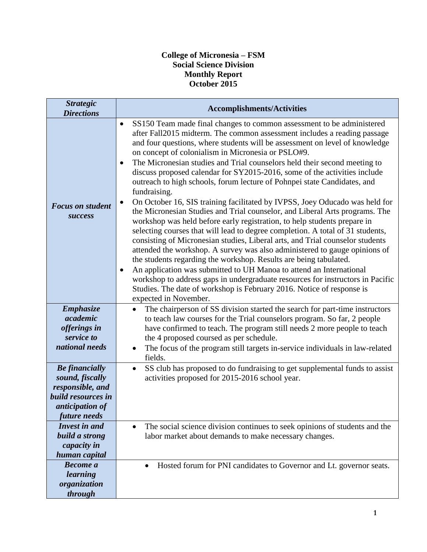## **College of Micronesia – FSM Social Science Division Monthly Report October 2015**

| <b>Strategic</b><br><b>Directions</b>                                                                 | <b>Accomplishments/Activities</b>                                                                                                                                                                                                                                                                                                                                                                                                                                                                                                                                                                                                                                                                                                                                                                                                                                                                                                                                                                                                                                                                                                                                                                                                                                                                                                                                                                                   |
|-------------------------------------------------------------------------------------------------------|---------------------------------------------------------------------------------------------------------------------------------------------------------------------------------------------------------------------------------------------------------------------------------------------------------------------------------------------------------------------------------------------------------------------------------------------------------------------------------------------------------------------------------------------------------------------------------------------------------------------------------------------------------------------------------------------------------------------------------------------------------------------------------------------------------------------------------------------------------------------------------------------------------------------------------------------------------------------------------------------------------------------------------------------------------------------------------------------------------------------------------------------------------------------------------------------------------------------------------------------------------------------------------------------------------------------------------------------------------------------------------------------------------------------|
| <b>Focus on student</b><br><b>success</b>                                                             | SS150 Team made final changes to common assessment to be administered<br>$\bullet$<br>after Fall2015 midterm. The common assessment includes a reading passage<br>and four questions, where students will be assessment on level of knowledge<br>on concept of colonialism in Micronesia or PSLO#9.<br>The Micronesian studies and Trial counselors held their second meeting to<br>$\bullet$<br>discuss proposed calendar for SY2015-2016, some of the activities include<br>outreach to high schools, forum lecture of Pohnpei state Candidates, and<br>fundraising.<br>On October 16, SIS training facilitated by IVPSS, Joey Oducado was held for<br>$\bullet$<br>the Micronesian Studies and Trial counselor, and Liberal Arts programs. The<br>workshop was held before early registration, to help students prepare in<br>selecting courses that will lead to degree completion. A total of 31 students,<br>consisting of Micronesian studies, Liberal arts, and Trial counselor students<br>attended the workshop. A survey was also administered to gauge opinions of<br>the students regarding the workshop. Results are being tabulated.<br>An application was submitted to UH Manoa to attend an International<br>٠<br>workshop to address gaps in undergraduate resources for instructors in Pacific<br>Studies. The date of workshop is February 2016. Notice of response is<br>expected in November. |
| <b>Emphasize</b><br>academic                                                                          | The chairperson of SS division started the search for part-time instructors<br>$\bullet$<br>to teach law courses for the Trial counselors program. So far, 2 people                                                                                                                                                                                                                                                                                                                                                                                                                                                                                                                                                                                                                                                                                                                                                                                                                                                                                                                                                                                                                                                                                                                                                                                                                                                 |
| offerings in<br>service to                                                                            | have confirmed to teach. The program still needs 2 more people to teach<br>the 4 proposed coursed as per schedule.                                                                                                                                                                                                                                                                                                                                                                                                                                                                                                                                                                                                                                                                                                                                                                                                                                                                                                                                                                                                                                                                                                                                                                                                                                                                                                  |
| national needs                                                                                        | The focus of the program still targets in-service individuals in law-related<br>$\bullet$<br>fields.                                                                                                                                                                                                                                                                                                                                                                                                                                                                                                                                                                                                                                                                                                                                                                                                                                                                                                                                                                                                                                                                                                                                                                                                                                                                                                                |
| <b>Be</b> financially<br>sound, fiscally<br>responsible, and<br>build resources in<br>anticipation of | SS club has proposed to do fundraising to get supplemental funds to assist<br>$\bullet$<br>activities proposed for 2015-2016 school year.                                                                                                                                                                                                                                                                                                                                                                                                                                                                                                                                                                                                                                                                                                                                                                                                                                                                                                                                                                                                                                                                                                                                                                                                                                                                           |
| future needs<br><b>Invest in and</b>                                                                  | The social science division continues to seek opinions of students and the                                                                                                                                                                                                                                                                                                                                                                                                                                                                                                                                                                                                                                                                                                                                                                                                                                                                                                                                                                                                                                                                                                                                                                                                                                                                                                                                          |
| build a strong<br>capacity in<br>human capital                                                        | labor market about demands to make necessary changes.                                                                                                                                                                                                                                                                                                                                                                                                                                                                                                                                                                                                                                                                                                                                                                                                                                                                                                                                                                                                                                                                                                                                                                                                                                                                                                                                                               |
| <b>Become</b> a<br>learning<br>organization<br>through                                                | Hosted forum for PNI candidates to Governor and Lt. governor seats.<br>$\bullet$                                                                                                                                                                                                                                                                                                                                                                                                                                                                                                                                                                                                                                                                                                                                                                                                                                                                                                                                                                                                                                                                                                                                                                                                                                                                                                                                    |